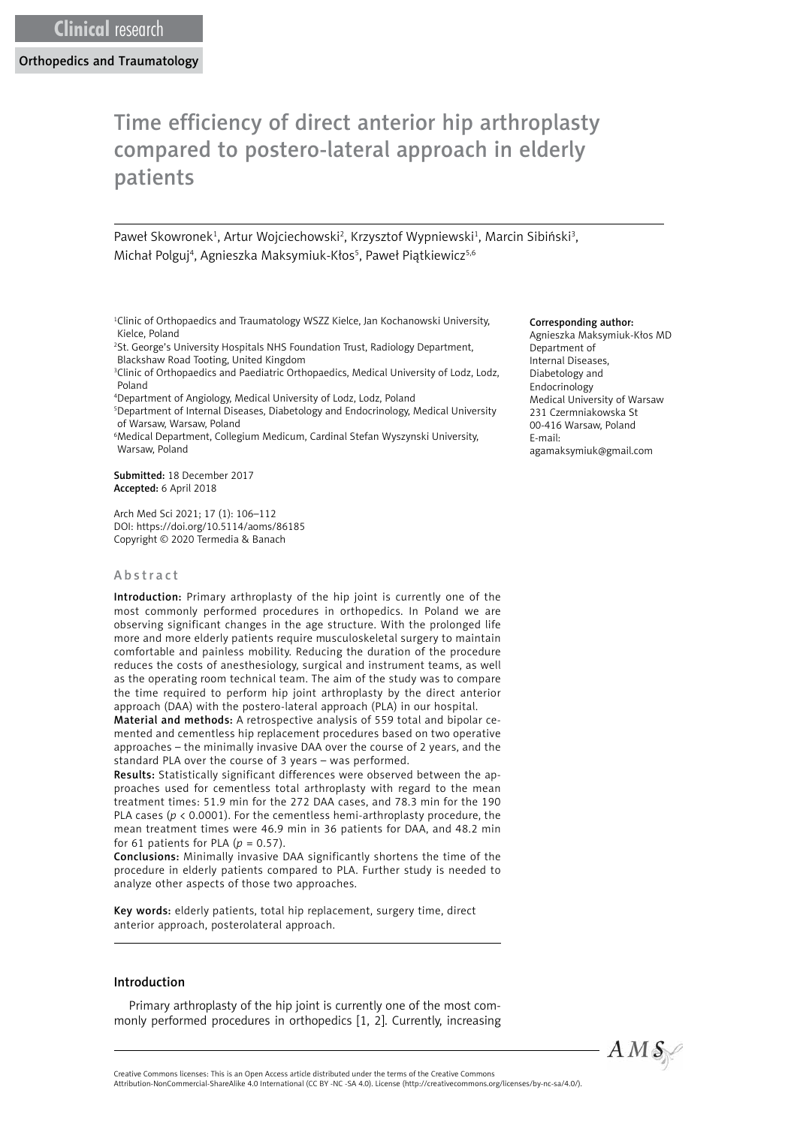Orthopedics and Traumatology

# Time efficiency of direct anterior hip arthroplasty compared to postero-lateral approach in elderly patients

Paweł Skowronek<sup>1</sup>, Artur Wojciechowski<sup>2</sup>, Krzysztof Wypniewski<sup>1</sup>, Marcin Sibiński<sup>3</sup>, Michał Polguj<sup>4</sup>, Agnieszka Maksymiuk-Kłos<sup>5</sup>, Paweł Piątkiewicz<sup>5,6</sup>

<sup>1</sup>Clinic of Orthopaedics and Traumatology WSZZ Kielce, Jan Kochanowski University, Kielce, Poland

2 St. George's University Hospitals NHS Foundation Trust, Radiology Department, Blackshaw Road Tooting, United Kingdom

<sup>3</sup>Clinic of Orthopaedics and Paediatric Orthopaedics, Medical University of Lodz, Lodz, Poland

4 Department of Angiology, Medical University of Lodz, Lodz, Poland

5 Department of Internal Diseases, Diabetology and Endocrinology, Medical University of Warsaw, Warsaw, Poland

6 Medical Department, Collegium Medicum, Cardinal Stefan Wyszynski University, Warsaw, Poland

Submitted: 18 December 2017 Accepted: 6 April 2018

Arch Med Sci 2021; 17 (1): 106–112 DOI: https://doi.org/10.5114/aoms/86185 Copyright © 2020 Termedia & Banach

## Abstract

Introduction: Primary arthroplasty of the hip joint is currently one of the most commonly performed procedures in orthopedics. In Poland we are observing significant changes in the age structure. With the prolonged life more and more elderly patients require musculoskeletal surgery to maintain comfortable and painless mobility. Reducing the duration of the procedure reduces the costs of anesthesiology, surgical and instrument teams, as well as the operating room technical team. The aim of the study was to compare the time required to perform hip joint arthroplasty by the direct anterior approach (DAA) with the postero-lateral approach (PLA) in our hospital.

Material and methods: A retrospective analysis of 559 total and bipolar cemented and cementless hip replacement procedures based on two operative approaches – the minimally invasive DAA over the course of 2 years, and the standard PLA over the course of 3 years – was performed.

Results: Statistically significant differences were observed between the approaches used for cementless total arthroplasty with regard to the mean treatment times: 51.9 min for the 272 DAA cases, and 78.3 min for the 190 PLA cases (*p* < 0.0001). For the cementless hemi-arthroplasty procedure, the mean treatment times were 46.9 min in 36 patients for DAA, and 48.2 min for 61 patients for PLA  $(p = 0.57)$ .

Conclusions: Minimally invasive DAA significantly shortens the time of the procedure in elderly patients compared to PLA. Further study is needed to analyze other aspects of those two approaches.

Key words: elderly patients, total hip replacement, surgery time, direct anterior approach, posterolateral approach.

#### Introduction

Primary arthroplasty of the hip joint is currently one of the most commonly performed procedures in orthopedics [1, 2]. Currently, increasing

#### Corresponding author:

Agnieszka Maksymiuk-Kłos MD Department of Internal Diseases, Diabetology and Endocrinology Medical University of Warsaw 231 Czermniakowska St 00-416 Warsaw, Poland E-mail: [agamaksymiuk@gmail.com](mailto:agamaksymiuk@gmail.com)

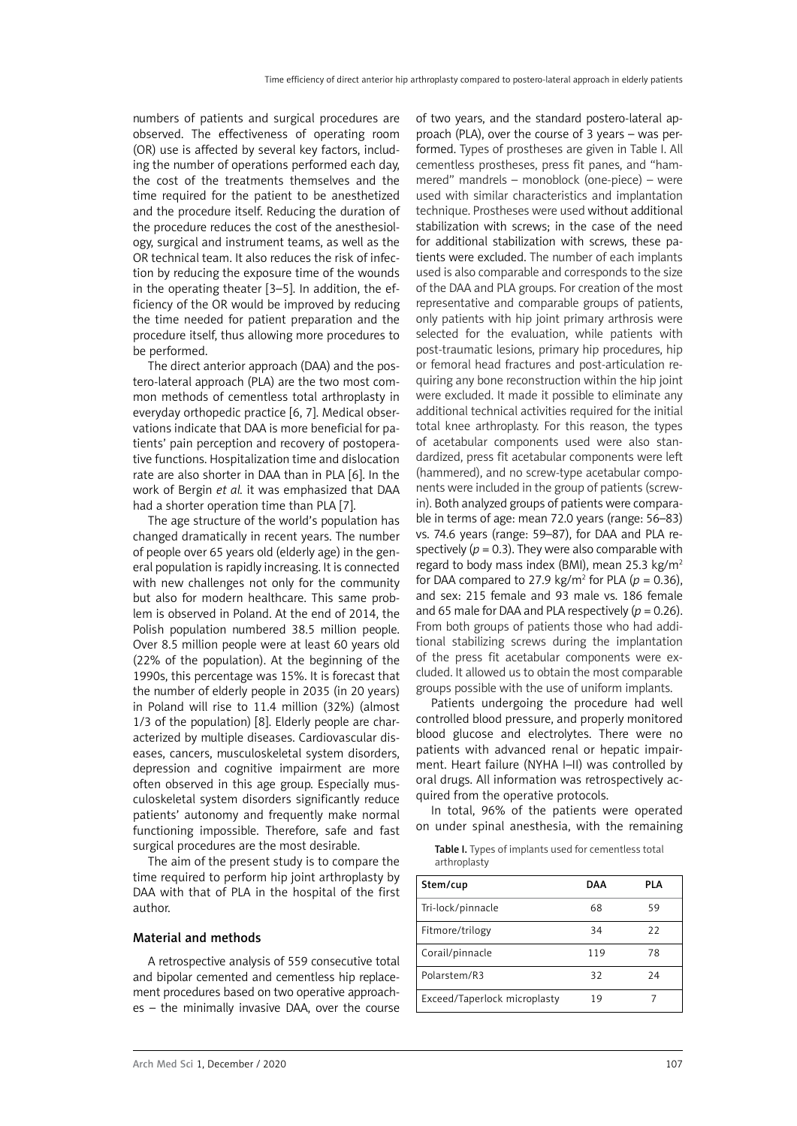numbers of patients and surgical procedures are observed. The effectiveness of operating room (OR) use is affected by several key factors, including the number of operations performed each day, the cost of the treatments themselves and the time required for the patient to be anesthetized and the procedure itself. Reducing the duration of the procedure reduces the cost of the anesthesiology, surgical and instrument teams, as well as the OR technical team. It also reduces the risk of infection by reducing the exposure time of the wounds in the operating theater [3–5]. In addition, the efficiency of the OR would be improved by reducing the time needed for patient preparation and the procedure itself, thus allowing more procedures to be performed.

The direct anterior approach (DAA) and the postero-lateral approach (PLA) are the two most common methods of cementless total arthroplasty in everyday orthopedic practice [6, 7]. Medical observations indicate that DAA is more beneficial for patients' pain perception and recovery of postoperative functions. Hospitalization time and dislocation rate are also shorter in DAA than in PLA [6]. In the work of Bergin *et al.* it was emphasized that DAA had a shorter operation time than PLA [7].

The age structure of the world's population has changed dramatically in recent years. The number of people over 65 years old (elderly age) in the general population is rapidly increasing. It is connected with new challenges not only for the community but also for modern healthcare. This same problem is observed in Poland. At the end of 2014, the Polish population numbered 38.5 million people. Over 8.5 million people were at least 60 years old (22% of the population). At the beginning of the 1990s, this percentage was 15%. It is forecast that the number of elderly people in 2035 (in 20 years) in Poland will rise to 11.4 million (32%) (almost 1/3 of the population) [8]. Elderly people are characterized by multiple diseases. Cardiovascular diseases, cancers, musculoskeletal system disorders, depression and cognitive impairment are more often observed in this age group. Especially musculoskeletal system disorders significantly reduce patients' autonomy and frequently make normal functioning impossible. Therefore, safe and fast surgical procedures are the most desirable.

The aim of the present study is to compare the time required to perform hip joint arthroplasty by DAA with that of PLA in the hospital of the first author.

## Material and methods

A retrospective analysis of 559 consecutive total and bipolar cemented and cementless hip replacement procedures based on two operative approaches – the minimally invasive DAA, over the course

of two years, and the standard postero-lateral approach (PLA), over the course of 3 years – was performed. Types of prostheses are given in Table I. All cementless prostheses, press fit panes, and "hammered" mandrels – monoblock (one-piece) – were used with similar characteristics and implantation technique. Prostheses were used without additional stabilization with screws; in the case of the need for additional stabilization with screws, these patients were excluded. The number of each implants used is also comparable and corresponds to the size of the DAA and PLA groups. For creation of the most representative and comparable groups of patients, only patients with hip joint primary arthrosis were selected for the evaluation, while patients with post-traumatic lesions, primary hip procedures, hip or femoral head fractures and post-articulation requiring any bone reconstruction within the hip joint were excluded. It made it possible to eliminate any additional technical activities required for the initial total knee arthroplasty. For this reason, the types of acetabular components used were also standardized, press fit acetabular components were left (hammered), and no screw-type acetabular components were included in the group of patients (screwin). Both analyzed groups of patients were comparable in terms of age: mean 72.0 years (range: 56–83) vs. 74.6 years (range: 59–87), for DAA and PLA respectively  $(p = 0.3)$ . They were also comparable with regard to body mass index (BMI), mean 25.3 kg/m2 for DAA compared to 27.9 kg/m<sup>2</sup> for PLA ( $p = 0.36$ ), and sex: 215 female and 93 male vs. 186 female and 65 male for DAA and PLA respectively  $(p = 0.26)$ . From both groups of patients those who had additional stabilizing screws during the implantation of the press fit acetabular components were excluded. It allowed us to obtain the most comparable groups possible with the use of uniform implants.

Patients undergoing the procedure had well controlled blood pressure, and properly monitored blood glucose and electrolytes. There were no patients with advanced renal or hepatic impairment. Heart failure (NYHA I–II) was controlled by oral drugs. All information was retrospectively acquired from the operative protocols.

In total, 96% of the patients were operated on under spinal anesthesia, with the remaining

Table I. Types of implants used for cementless total arthroplasty

| Stem/cup                     | DAA | PLA |
|------------------------------|-----|-----|
| Tri-lock/pinnacle            | 68  | 59  |
| Fitmore/trilogy              | 34  | 22  |
| Corail/pinnacle              | 119 | 78  |
| Polarstem/R3                 | 32  | 24  |
| Exceed/Taperlock microplasty | 19  |     |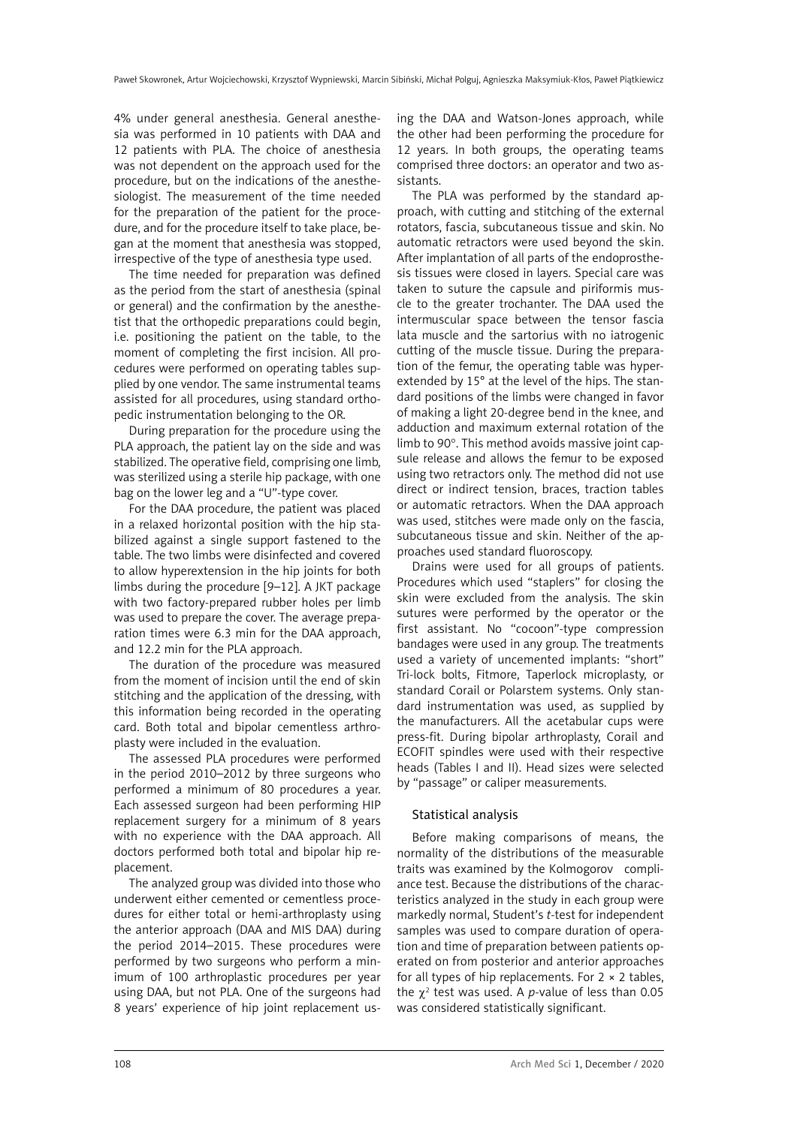4% under general anesthesia. General anesthesia was performed in 10 patients with DAA and 12 patients with PLA. The choice of anesthesia was not dependent on the approach used for the procedure, but on the indications of the anesthesiologist. The measurement of the time needed for the preparation of the patient for the procedure, and for the procedure itself to take place, began at the moment that anesthesia was stopped, irrespective of the type of anesthesia type used.

The time needed for preparation was defined as the period from the start of anesthesia (spinal or general) and the confirmation by the anesthetist that the orthopedic preparations could begin, i.e. positioning the patient on the table, to the moment of completing the first incision. All procedures were performed on operating tables supplied by one vendor. The same instrumental teams assisted for all procedures, using standard orthopedic instrumentation belonging to the OR.

During preparation for the procedure using the PLA approach, the patient lay on the side and was stabilized. The operative field, comprising one limb, was sterilized using a sterile hip package, with one bag on the lower leg and a "U"-type cover.

For the DAA procedure, the patient was placed in a relaxed horizontal position with the hip stabilized against a single support fastened to the table. The two limbs were disinfected and covered to allow hyperextension in the hip joints for both limbs during the procedure [9–12]. A JKT package with two factory-prepared rubber holes per limb was used to prepare the cover. The average preparation times were 6.3 min for the DAA approach, and 12.2 min for the PLA approach.

The duration of the procedure was measured from the moment of incision until the end of skin stitching and the application of the dressing, with this information being recorded in the operating card. Both total and bipolar cementless arthroplasty were included in the evaluation.

The assessed PLA procedures were performed in the period 2010–2012 by three surgeons who performed a minimum of 80 procedures a year. Each assessed surgeon had been performing HIP replacement surgery for a minimum of 8 years with no experience with the DAA approach. All doctors performed both total and bipolar hip replacement.

The analyzed group was divided into those who underwent either cemented or cementless procedures for either total or hemi-arthroplasty using the anterior approach (DAA and MIS DAA) during the period 2014–2015. These procedures were performed by two surgeons who perform a minimum of 100 arthroplastic procedures per year using DAA, but not PLA. One of the surgeons had 8 years' experience of hip joint replacement using the DAA and Watson-Jones approach, while the other had been performing the procedure for 12 years. In both groups, the operating teams comprised three doctors: an operator and two assistants.

The PLA was performed by the standard approach, with cutting and stitching of the external rotators, fascia, subcutaneous tissue and skin. No automatic retractors were used beyond the skin. After implantation of all parts of the endoprosthesis tissues were closed in layers. Special care was taken to suture the capsule and piriformis muscle to the greater trochanter. The DAA used the intermuscular space between the tensor fascia lata muscle and the sartorius with no iatrogenic cutting of the muscle tissue. During the preparation of the femur, the operating table was hyperextended by 15° at the level of the hips. The standard positions of the limbs were changed in favor of making a light 20-degree bend in the knee, and adduction and maximum external rotation of the limb to 90°. This method avoids massive joint capsule release and allows the femur to be exposed using two retractors only. The method did not use direct or indirect tension, braces, traction tables or automatic retractors. When the DAA approach was used, stitches were made only on the fascia, subcutaneous tissue and skin. Neither of the approaches used standard fluoroscopy.

Drains were used for all groups of patients. Procedures which used "staplers" for closing the skin were excluded from the analysis. The skin sutures were performed by the operator or the first assistant. No "cocoon"-type compression bandages were used in any group. The treatments used a variety of uncemented implants: "short" Tri-lock bolts, Fitmore, Taperlock microplasty, or standard Corail or Polarstem systems. Only standard instrumentation was used, as supplied by the manufacturers. All the acetabular cups were press-fit. During bipolar arthroplasty, Corail and ECOFIT spindles were used with their respective heads (Tables I and II). Head sizes were selected by "passage" or caliper measurements.

## Statistical analysis

Before making comparisons of means, the normality of the distributions of the measurable traits was examined by the Kolmogorov compliance test. Because the distributions of the characteristics analyzed in the study in each group were markedly normal, Student's *t*-test for independent samples was used to compare duration of operation and time of preparation between patients operated on from posterior and anterior approaches for all types of hip replacements. For  $2 \times 2$  tables, the  $\chi^2$  test was used. A *p*-value of less than 0.05 was considered statistically significant.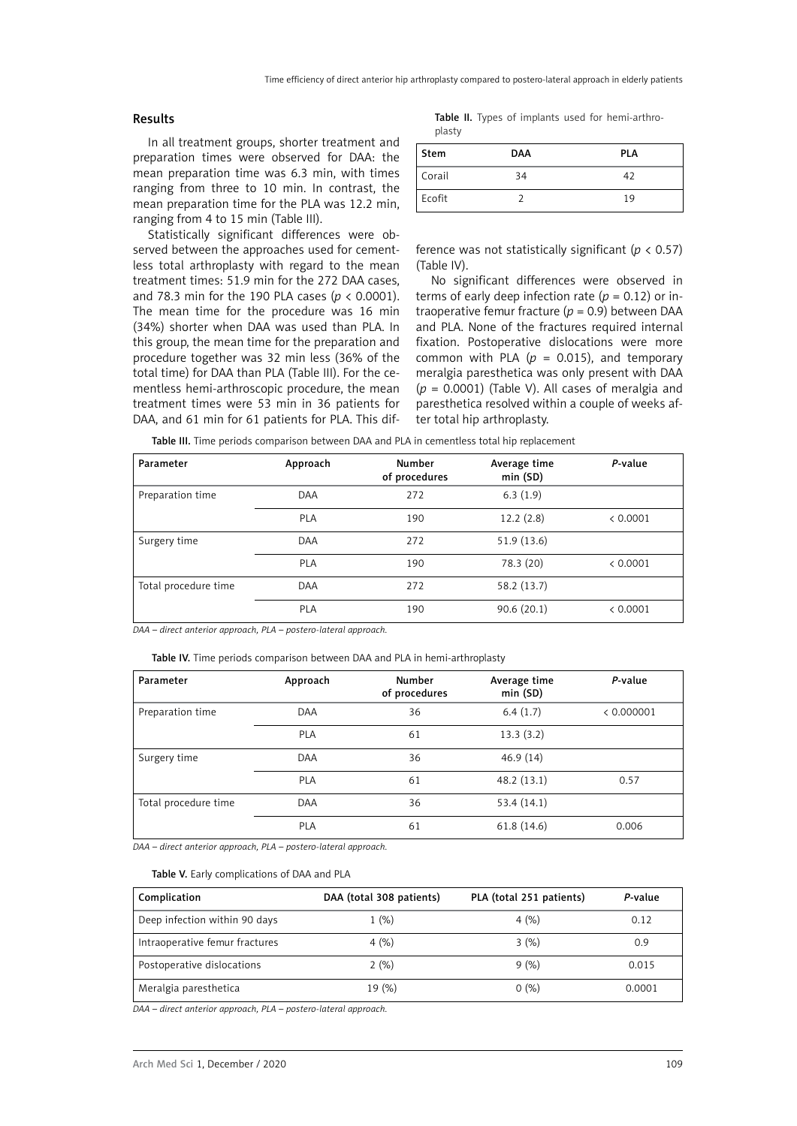## Results

In all treatment groups, shorter treatment and preparation times were observed for DAA: the mean preparation time was 6.3 min, with times ranging from three to 10 min. In contrast, the mean preparation time for the PLA was 12.2 min, ranging from 4 to 15 min (Table III).

Statistically significant differences were observed between the approaches used for cementless total arthroplasty with regard to the mean treatment times: 51.9 min for the 272 DAA cases, and 78.3 min for the 190 PLA cases (*p* < 0.0001). The mean time for the procedure was 16 min (34%) shorter when DAA was used than PLA. In this group, the mean time for the preparation and procedure together was 32 min less (36% of the total time) for DAA than PLA (Table III). For the cementless hemi-arthroscopic procedure, the mean treatment times were 53 min in 36 patients for DAA, and 61 min for 61 patients for PLA. This dif-

Table II. Types of implants used for hemi-arthroplasty

| <b>Stem</b> | <b>DAA</b> | <b>PLA</b> |
|-------------|------------|------------|
| Corail      | 34         | 42         |
| Ecofit      |            | 19         |

ference was not statistically significant (*p* < 0.57) (Table IV).

No significant differences were observed in terms of early deep infection rate  $(p = 0.12)$  or intraoperative femur fracture (*p* = 0.9) between DAA and PLA. None of the fractures required internal fixation. Postoperative dislocations were more common with PLA ( $p = 0.015$ ), and temporary meralgia paresthetica was only present with DAA  $(p = 0.0001)$  (Table V). All cases of meralgia and paresthetica resolved within a couple of weeks after total hip arthroplasty.

Table III. Time periods comparison between DAA and PLA in cementless total hip replacement

| Parameter            | Approach   | Number<br>of procedures | Average time<br>min(SD) | P-value  |
|----------------------|------------|-------------------------|-------------------------|----------|
| Preparation time     | <b>DAA</b> | 272                     | 6.3(1.9)                |          |
|                      | <b>PLA</b> | 190                     | 12.2(2.8)               | < 0.0001 |
| Surgery time         | <b>DAA</b> | 272                     | 51.9 (13.6)             |          |
|                      | <b>PLA</b> | 190                     | 78.3 (20)               | < 0.0001 |
| Total procedure time | DAA        | 272                     | 58.2 (13.7)             |          |
|                      | <b>PLA</b> | 190                     | 90.6(20.1)              | < 0.0001 |

*DAA – direct anterior approach, PLA – postero-lateral approach.*

Table IV. Time periods comparison between DAA and PLA in hemi-arthroplasty

| Parameter            | Approach | Number<br>of procedures | Average time<br>min (SD) | P-value    |
|----------------------|----------|-------------------------|--------------------------|------------|
| Preparation time     | DAA      | 36                      | 6.4(1.7)                 | < 0.000001 |
|                      | PLA      | 61                      | 13.3(3.2)                |            |
| Surgery time         | DAA      | 36                      | 46.9(14)                 |            |
|                      | PLA      | 61                      | 48.2(13.1)               | 0.57       |
| Total procedure time | DAA      | 36                      | 53.4(14.1)               |            |
|                      | PLA      | 61                      | 61.8(14.6)               | 0.006      |

*DAA – direct anterior approach, PLA – postero-lateral approach.*

#### Table V. Early complications of DAA and PLA

| Complication                   | DAA (total 308 patients) | PLA (total 251 patients) | P-value |
|--------------------------------|--------------------------|--------------------------|---------|
| Deep infection within 90 days  | 1(%)                     | 4(%)                     | 0.12    |
| Intraoperative femur fractures | 4(%)                     | 3(%)                     | 0.9     |
| Postoperative dislocations     | 2(%)                     | 9(%)                     | 0.015   |
| Meralgia paresthetica          | 19 (%)                   | 0(%)                     | 0.0001  |

*DAA – direct anterior approach, PLA – postero-lateral approach.*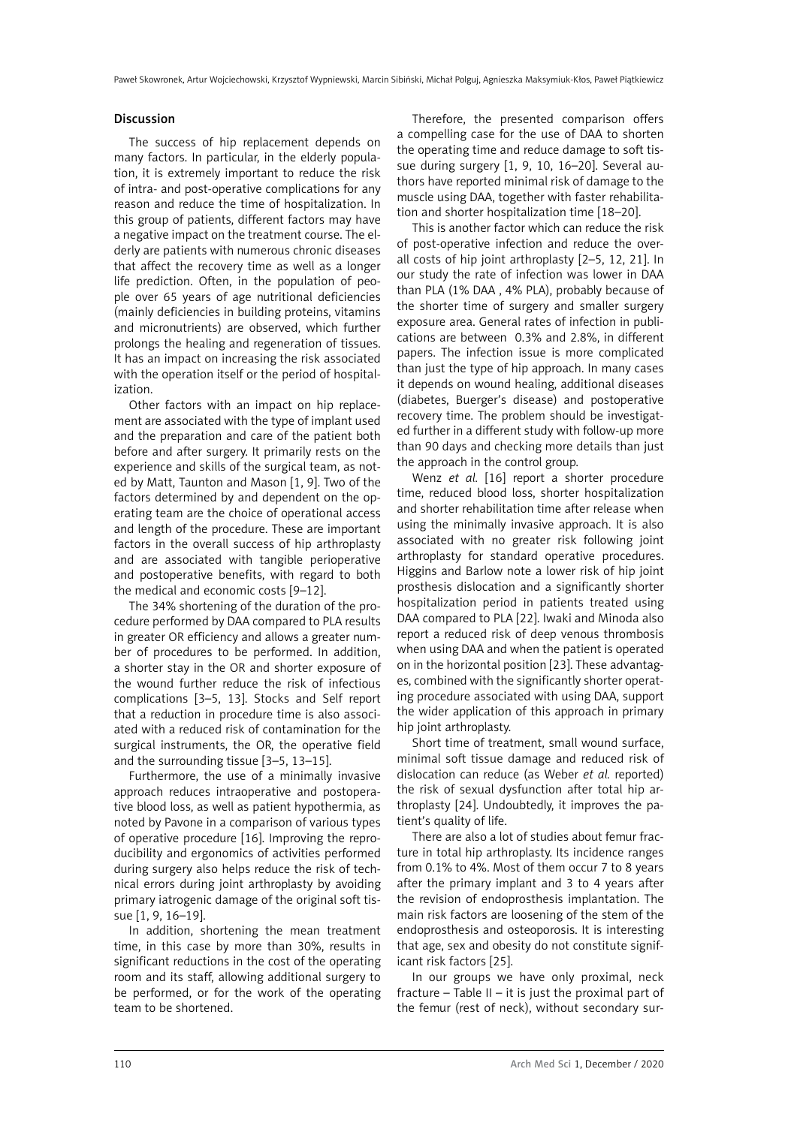#### Discussion

The success of hip replacement depends on many factors. In particular, in the elderly population, it is extremely important to reduce the risk of intra- and post-operative complications for any reason and reduce the time of hospitalization. In this group of patients, different factors may have a negative impact on the treatment course. The elderly are patients with numerous chronic diseases that affect the recovery time as well as a longer life prediction. Often, in the population of people over 65 years of age nutritional deficiencies (mainly deficiencies in building proteins, vitamins and micronutrients) are observed, which further prolongs the healing and regeneration of tissues. It has an impact on increasing the risk associated with the operation itself or the period of hospitalization.

Other factors with an impact on hip replacement are associated with the type of implant used and the preparation and care of the patient both before and after surgery. It primarily rests on the experience and skills of the surgical team, as noted by Matt, Taunton and Mason [1, 9]. Two of the factors determined by and dependent on the operating team are the choice of operational access and length of the procedure. These are important factors in the overall success of hip arthroplasty and are associated with tangible perioperative and postoperative benefits, with regard to both the medical and economic costs [9–12].

The 34% shortening of the duration of the procedure performed by DAA compared to PLA results in greater OR efficiency and allows a greater number of procedures to be performed. In addition, a shorter stay in the OR and shorter exposure of the wound further reduce the risk of infectious complications [3–5, 13]. Stocks and Self report that a reduction in procedure time is also associated with a reduced risk of contamination for the surgical instruments, the OR, the operative field and the surrounding tissue [3–5, 13–15].

Furthermore, the use of a minimally invasive approach reduces intraoperative and postoperative blood loss, as well as patient hypothermia, as noted by Pavone in a comparison of various types of operative procedure [16]. Improving the reproducibility and ergonomics of activities performed during surgery also helps reduce the risk of technical errors during joint arthroplasty by avoiding primary iatrogenic damage of the original soft tissue [1, 9, 16–19].

In addition, shortening the mean treatment time, in this case by more than 30%, results in significant reductions in the cost of the operating room and its staff, allowing additional surgery to be performed, or for the work of the operating team to be shortened.

Therefore, the presented comparison offers a compelling case for the use of DAA to shorten the operating time and reduce damage to soft tissue during surgery [1, 9, 10, 16–20]. Several authors have reported minimal risk of damage to the muscle using DAA, together with faster rehabilitation and shorter hospitalization time [18–20].

This is another factor which can reduce the risk of post-operative infection and reduce the overall costs of hip joint arthroplasty [2–5, 12, 21]. In our study the rate of infection was lower in DAA than PLA (1% DAA , 4% PLA), probably because of the shorter time of surgery and smaller surgery exposure area. General rates of infection in publications are between 0.3% and 2.8%, in different papers. The infection issue is more complicated than just the type of hip approach. In many cases it depends on wound healing, additional diseases (diabetes, Buerger's disease) and postoperative recovery time. The problem should be investigated further in a different study with follow-up more than 90 days and checking more details than just the approach in the control group.

Wenz *et al.* [16] report a shorter procedure time, reduced blood loss, shorter hospitalization and shorter rehabilitation time after release when using the minimally invasive approach. It is also associated with no greater risk following joint arthroplasty for standard operative procedures. Higgins and Barlow note a lower risk of hip joint prosthesis dislocation and a significantly shorter hospitalization period in patients treated using DAA compared to PLA [22]. Iwaki and Minoda also report a reduced risk of deep venous thrombosis when using DAA and when the patient is operated on in the horizontal position [23]. These advantages, combined with the significantly shorter operating procedure associated with using DAA, support the wider application of this approach in primary hip joint arthroplasty.

Short time of treatment, small wound surface, minimal soft tissue damage and reduced risk of dislocation can reduce (as Weber *et al.* reported) the risk of sexual dysfunction after total hip arthroplasty [24]. Undoubtedly, it improves the patient's quality of life.

There are also a lot of studies about femur fracture in total hip arthroplasty. Its incidence ranges from 0.1% to 4%. Most of them occur 7 to 8 years after the primary implant and 3 to 4 years after the revision of endoprosthesis implantation. The main risk factors are loosening of the stem of the endoprosthesis and osteoporosis. It is interesting that age, sex and obesity do not constitute significant risk factors [25].

In our groups we have only proximal, neck fracture – Table II – it is just the proximal part of the femur (rest of neck), without secondary sur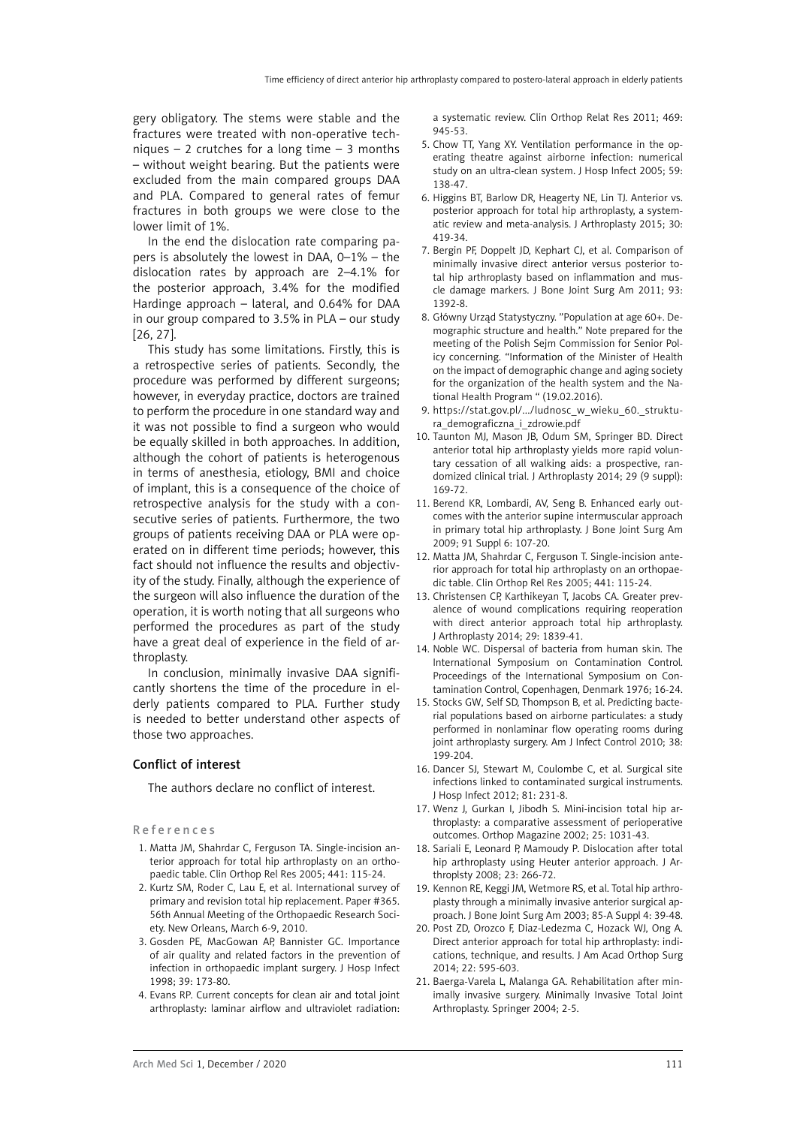gery obligatory. The stems were stable and the fractures were treated with non-operative techniques – 2 crutches for a long time – 3 months – without weight bearing. But the patients were excluded from the main compared groups DAA and PLA. Compared to general rates of femur fractures in both groups we were close to the lower limit of 1%.

In the end the dislocation rate comparing papers is absolutely the lowest in DAA, 0–1% – the dislocation rates by approach are 2–4.1% for the posterior approach, 3.4% for the modified Hardinge approach – lateral, and 0.64% for DAA in our group compared to 3.5% in PLA – our study [26, 27].

This study has some limitations. Firstly, this is a retrospective series of patients. Secondly, the procedure was performed by different surgeons; however, in everyday practice, doctors are trained to perform the procedure in one standard way and it was not possible to find a surgeon who would be equally skilled in both approaches. In addition, although the cohort of patients is heterogenous in terms of anesthesia, etiology, BMI and choice of implant, this is a consequence of the choice of retrospective analysis for the study with a consecutive series of patients. Furthermore, the two groups of patients receiving DAA or PLA were operated on in different time periods; however, this fact should not influence the results and objectivity of the study. Finally, although the experience of the surgeon will also influence the duration of the operation, it is worth noting that all surgeons who performed the procedures as part of the study have a great deal of experience in the field of arthroplasty.

In conclusion, minimally invasive DAA significantly shortens the time of the procedure in elderly patients compared to PLA. Further study is needed to better understand other aspects of those two approaches.

## Conflict of interest

The authors declare no conflict of interest.

#### References

- 1. Matta JM, Shahrdar C, Ferguson TA. Single-incision anterior approach for total hip arthroplasty on an orthopaedic table. Clin Orthop Rel Res 2005; 441: 115-24.
- 2. Kurtz SM, Roder C, Lau E, et al. International survey of primary and revision total hip replacement. Paper #365. 56th Annual Meeting of the Orthopaedic Research Society. New Orleans, March 6-9, 2010.
- 3. Gosden PE, MacGowan AP, Bannister GC. Importance of air quality and related factors in the prevention of infection in orthopaedic implant surgery. J Hosp Infect 1998; 39: 173-80.
- 4. Evans RP. Current concepts for clean air and total joint arthroplasty: laminar airflow and ultraviolet radiation:

a systematic review. Clin Orthop Relat Res 2011; 469: 945-53.

- 5. Chow TT, Yang XY. Ventilation performance in the operating theatre against airborne infection: numerical study on an ultra-clean system. J Hosp Infect 2005; 59: 138-47.
- 6. Higgins BT, [Barlow DR](http://www.ncbi.nlm.nih.gov/pubmed/?term=Barlow DR%5BAuthor%5D&cauthor=true&cauthor_uid=25453632), [Heagerty NE,](http://www.ncbi.nlm.nih.gov/pubmed/?term=Heagerty NE%5BAuthor%5D&cauthor=true&cauthor_uid=25453632) [Lin TJ](http://www.ncbi.nlm.nih.gov/pubmed/?term=Lin TJ%5BAuthor%5D&cauthor=true&cauthor_uid=25453632). Anterior vs. posterior approach for total hip arthroplasty, a systematic review and meta-analysis. [J Arthroplasty](http://www.ncbi.nlm.nih.gov/pubmed/25453632) 2015; 30: 419-34.
- 7. Bergin PF, Doppelt JD, Kephart CJ, et al. Comparison of minimally invasive direct anterior versus posterior total hip arthroplasty based on inflammation and muscle damage markers. J Bone Joint Surg Am 2011; 93: 1392-8.
- 8. Główny Urząd Statystyczny. "Population at age 60+. Demographic structure and health." Note prepared for the meeting of the Polish Sejm Commission for Senior Policy concerning. "Information of the Minister of Health on the impact of demographic change and aging society for the organization of the health system and the National Health Program " (19.02.2016).
- 9. https://stat.gov.pl/.../ludnosc\_w\_wieku\_60.\_struktura\_demograficzna\_i\_zdrowie.pdf
- 10. Taunton MJ, Mason JB, Odum SM, Springer BD. Direct anterior total hip arthroplasty yields more rapid voluntary cessation of all walking aids: a prospective, randomized clinical trial. J Arthroplasty 2014; 29 (9 suppl): 169-72.
- 11. Berend KR, Lombardi, AV, Seng B. Enhanced early outcomes with the anterior supine intermuscular approach in primary total hip arthroplasty. J Bone Joint Surg Am 2009; 91 Suppl 6: 107-20.
- 12. Matta JM, Shahrdar C, Ferguson T. Single-incision anterior approach for total hip arthroplasty on an orthopaedic table. Clin Orthop Rel Res 2005; 441: 115-24.
- 13. Christensen CP, Karthikeyan T, Jacobs CA. Greater prevalence of wound complications requiring reoperation with direct anterior approach total hip arthroplasty. J Arthroplasty 2014; 29: 1839-41.
- 14. Noble WC. Dispersal of bacteria from human skin. The International Symposium on Contamination Control. Proceedings of the International Symposium on Contamination Control, Copenhagen, Denmark 1976; 16-24.
- 15. Stocks GW, Self SD, Thompson B, et al. Predicting bacterial populations based on airborne particulates: a study performed in nonlaminar flow operating rooms during joint arthroplasty surgery. Am J Infect Control 2010; 38: 199-204.
- 16. Dancer SJ, Stewart M, Coulombe C, et al. Surgical site infections linked to contaminated surgical instruments. J Hosp Infect 2012; 81: 231-8.
- 17. Wenz J, Gurkan I, Jibodh S. Mini-incision total hip arthroplasty: a comparative assessment of perioperative outcomes. Orthop Magazine 2002; 25: 1031-43.
- 18. Sariali E, Leonard P, Mamoudy P. Dislocation after total hip arthroplasty using Heuter anterior approach. J Arthroplsty 2008; 23: 266-72.
- 19. Kennon RE, Keggi JM, Wetmore RS, et al. Total hip arthroplasty through a minimally invasive anterior surgical approach. J Bone Joint Surg Am 2003; 85-A Suppl 4: 39-48.
- 20. Post ZD, Orozco F, Diaz-Ledezma C, Hozack WJ, Ong A. Direct anterior approach for total hip arthroplasty: indications, technique, and results. J Am Acad Orthop Surg 2014; 22: 595-603.
- 21. Baerga-Varela L, Malanga GA. Rehabilitation after minimally invasive surgery. Minimally Invasive Total Joint Arthroplasty. Springer 2004; 2-5.